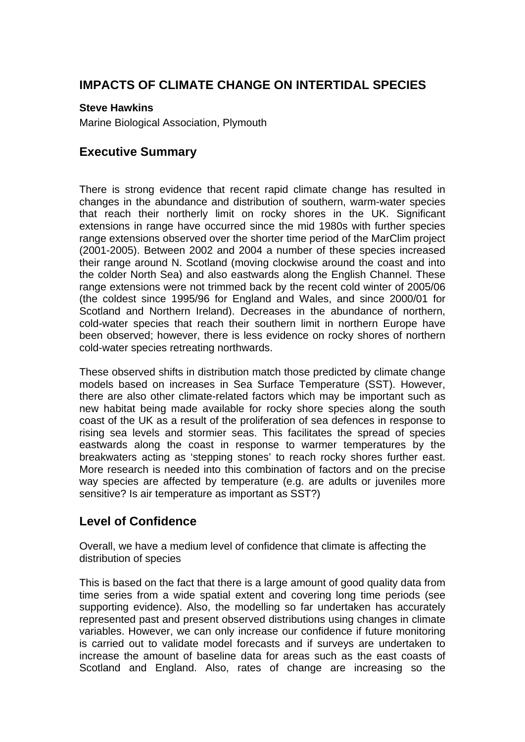## **IMPACTS OF CLIMATE CHANGE ON INTERTIDAL SPECIES**

#### **Steve Hawkins**

Marine Biological Association, Plymouth

#### **Executive Summary**

There is strong evidence that recent rapid climate change has resulted in changes in the abundance and distribution of southern, warm-water species that reach their northerly limit on rocky shores in the UK. Significant extensions in range have occurred since the mid 1980s with further species range extensions observed over the shorter time period of the MarClim project (2001-2005). Between 2002 and 2004 a number of these species increased their range around N. Scotland (moving clockwise around the coast and into the colder North Sea) and also eastwards along the English Channel. These range extensions were not trimmed back by the recent cold winter of 2005/06 (the coldest since 1995/96 for England and Wales, and since 2000/01 for Scotland and Northern Ireland). Decreases in the abundance of northern, cold-water species that reach their southern limit in northern Europe have been observed; however, there is less evidence on rocky shores of northern cold-water species retreating northwards.

These observed shifts in distribution match those predicted by climate change models based on increases in Sea Surface Temperature (SST). However, there are also other climate-related factors which may be important such as new habitat being made available for rocky shore species along the south coast of the UK as a result of the proliferation of sea defences in response to rising sea levels and stormier seas. This facilitates the spread of species eastwards along the coast in response to warmer temperatures by the breakwaters acting as 'stepping stones' to reach rocky shores further east. More research is needed into this combination of factors and on the precise way species are affected by temperature (e.g. are adults or juveniles more sensitive? Is air temperature as important as SST?)

## **Level of Confidence**

Overall, we have a medium level of confidence that climate is affecting the distribution of species

This is based on the fact that there is a large amount of good quality data from time series from a wide spatial extent and covering long time periods (see supporting evidence). Also, the modelling so far undertaken has accurately represented past and present observed distributions using changes in climate variables. However, we can only increase our confidence if future monitoring is carried out to validate model forecasts and if surveys are undertaken to increase the amount of baseline data for areas such as the east coasts of Scotland and England. Also, rates of change are increasing so the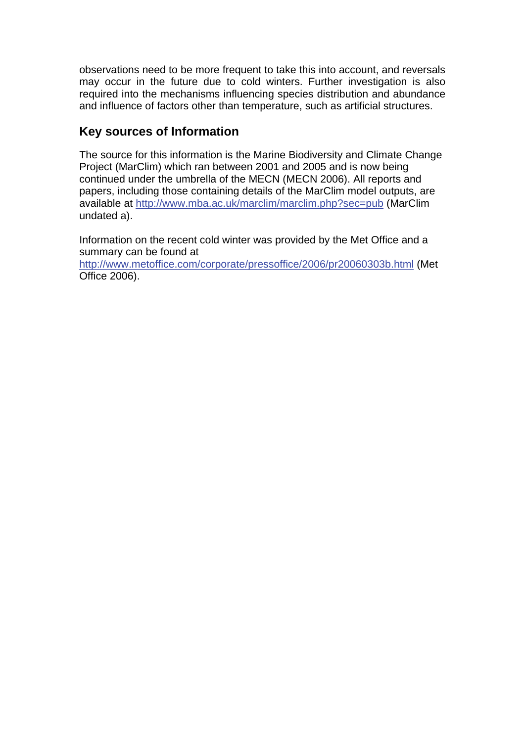observations need to be more frequent to take this into account, and reversals may occur in the future due to cold winters. Further investigation is also required into the mechanisms influencing species distribution and abundance and influence of factors other than temperature, such as artificial structures.

### **Key sources of Information**

The source for this information is the Marine Biodiversity and Climate Change Project (MarClim) which ran between 2001 and 2005 and is now being continued under the umbrella of the MECN (MECN 2006). All reports and papers, including those containing details of the MarClim model outputs, are available at<http://www.mba.ac.uk/marclim/marclim.php?sec=pub> (MarClim undated a).

Information on the recent cold winter was provided by the Met Office and a summary can be found at

<http://www.metoffice.com/corporate/pressoffice/2006/pr20060303b.html> (Met Office 2006).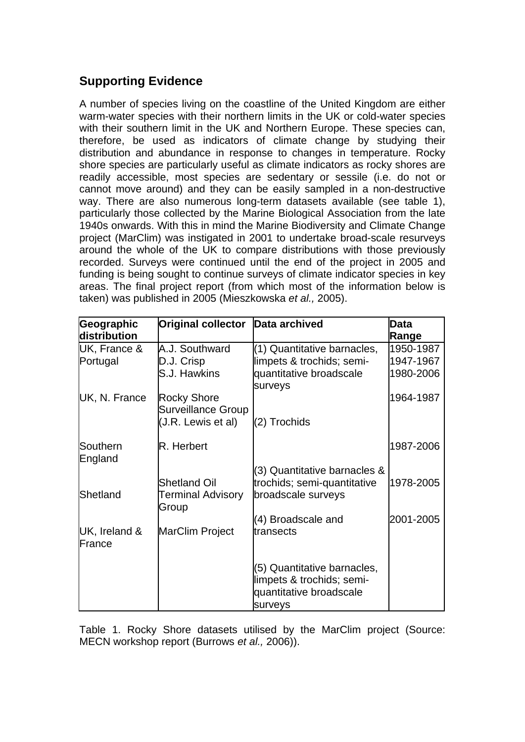# **Supporting Evidence**

A number of species living on the coastline of the United Kingdom are either warm-water species with their northern limits in the UK or cold-water species with their southern limit in the UK and Northern Europe. These species can, therefore, be used as indicators of climate change by studying their distribution and abundance in response to changes in temperature. Rocky shore species are particularly useful as climate indicators as rocky shores are readily accessible, most species are sedentary or sessile (i.e. do not or cannot move around) and they can be easily sampled in a non-destructive way. There are also numerous long-term datasets available (see table 1), particularly those collected by the Marine Biological Association from the late 1940s onwards. With this in mind the Marine Biodiversity and Climate Change project (MarClim) was instigated in 2001 to undertake broad-scale resurveys around the whole of the UK to compare distributions with those previously recorded. Surveys were continued until the end of the project in 2005 and funding is being sought to continue surveys of climate indicator species in key areas. The final project report (from which most of the information below is taken) was published in 2005 (Mieszkowska *et al.,* 2005).

| Geographic          | <b>Original collector</b>                       | Data archived                                                                                  | Data      |
|---------------------|-------------------------------------------------|------------------------------------------------------------------------------------------------|-----------|
| distribution        |                                                 |                                                                                                | Range     |
| UK, France &        | A.J. Southward                                  | (1) Quantitative barnacles,                                                                    | 1950-1987 |
| Portugal            | D.J. Crisp                                      | limpets & trochids; semi-                                                                      | 1947-1967 |
|                     | S.J. Hawkins                                    | quantitative broadscale<br>surveys                                                             | 1980-2006 |
| UK, N. France       | <b>Rocky Shore</b><br><b>Surveillance Group</b> |                                                                                                | 1964-1987 |
|                     | (J.R. Lewis et al)                              | (2) Trochids                                                                                   |           |
| Southern<br>England | R. Herbert                                      |                                                                                                | 1987-2006 |
| Shetland            | <b>Shetland Oil</b><br>Terminal Advisory        | (3) Quantitative barnacles &<br>trochids; semi-quantitative<br>broadscale surveys              | 1978-2005 |
|                     | Group                                           |                                                                                                |           |
| UK, Ireland &       | MarClim Project                                 | (4) Broadscale and<br>transects                                                                | 2001-2005 |
| France              |                                                 |                                                                                                |           |
|                     |                                                 | (5) Quantitative barnacles,<br>limpets & trochids; semi-<br>quantitative broadscale<br>surveys |           |

Table 1. Rocky Shore datasets utilised by the MarClim project (Source: MECN workshop report (Burrows *et al.,* 2006)).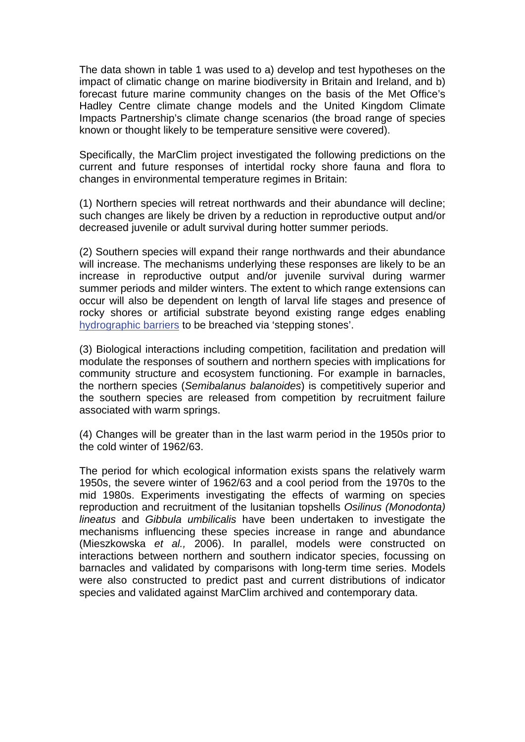The data shown in table 1 was used to a) develop and test hypotheses on the impact of climatic change on marine biodiversity in Britain and Ireland, and b) forecast future marine community changes on the basis of the Met Office's Hadley Centre climate change models and the United Kingdom Climate Impacts Partnership's climate change scenarios (the broad range of species known or thought likely to be temperature sensitive were covered).

Specifically, the MarClim project investigated the following predictions on the current and future responses of intertidal rocky shore fauna and flora to changes in environmental temperature regimes in Britain:

(1) Northern species will retreat northwards and their abundance will decline; such changes are likely be driven by a reduction in reproductive output and/or decreased juvenile or adult survival during hotter summer periods.

(2) Southern species will expand their range northwards and their abundance will increase. The mechanisms underlying these responses are likely to be an increase in reproductive output and/or juvenile survival during warmer summer periods and milder winters. The extent to which range extensions can occur will also be dependent on length of larval life stages and presence of rocky shores or artificial substrate beyond existing range edges enabling [hydrographic barriers](http://www.mccip.org.uk/arc/glossary.htm) to be breached via 'stepping stones'.

(3) Biological interactions including competition, facilitation and predation will modulate the responses of southern and northern species with implications for community structure and ecosystem functioning. For example in barnacles, the northern species (*Semibalanus balanoides*) is competitively superior and the southern species are released from competition by recruitment failure associated with warm springs.

(4) Changes will be greater than in the last warm period in the 1950s prior to the cold winter of 1962/63.

The period for which ecological information exists spans the relatively warm 1950s, the severe winter of 1962/63 and a cool period from the 1970s to the mid 1980s. Experiments investigating the effects of warming on species reproduction and recruitment of the lusitanian topshells *Osilinus (Monodonta) lineatus* and *Gibbula umbilicalis* have been undertaken to investigate the mechanisms influencing these species increase in range and abundance (Mieszkowska *et al.,* 2006). In parallel, models were constructed on interactions between northern and southern indicator species, focussing on barnacles and validated by comparisons with long-term time series. Models were also constructed to predict past and current distributions of indicator species and validated against MarClim archived and contemporary data.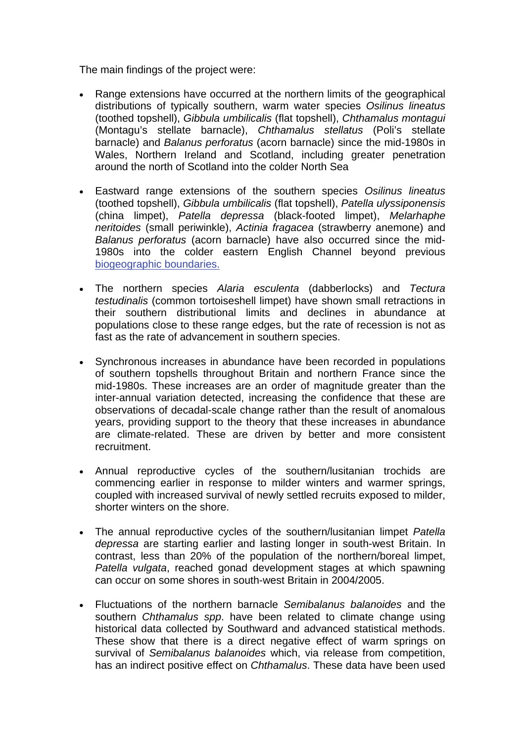The main findings of the project were:

- Range extensions have occurred at the northern limits of the geographical distributions of typically southern, warm water species *Osilinus lineatus* (toothed topshell), *Gibbula umbilicalis* (flat topshell), *Chthamalus montagui* (Montagu's stellate barnacle), *Chthamalus stellatus* (Poli's stellate barnacle) and *Balanus perforatus* (acorn barnacle) since the mid-1980s in Wales, Northern Ireland and Scotland, including greater penetration around the north of Scotland into the colder North Sea
- Eastward range extensions of the southern species *Osilinus lineatus* (toothed topshell), *Gibbula umbilicalis* (flat topshell), *Patella ulyssiponensis* (china limpet), *Patella depressa* (black-footed limpet), *Melarhaphe neritoides* (small periwinkle), *Actinia fragacea* (strawberry anemone) and *Balanus perforatus* (acorn barnacle) have also occurred since the mid-1980s into the colder eastern English Channel beyond previous [biogeographic boundaries.](http://www.mccip.org.uk/arc/glossary.htm)
- The northern species *Alaria esculenta* (dabberlocks) and *Tectura testudinalis* (common tortoiseshell limpet) have shown small retractions in their southern distributional limits and declines in abundance at populations close to these range edges, but the rate of recession is not as fast as the rate of advancement in southern species.
- Synchronous increases in abundance have been recorded in populations of southern topshells throughout Britain and northern France since the mid-1980s. These increases are an order of magnitude greater than the inter-annual variation detected, increasing the confidence that these are observations of decadal-scale change rather than the result of anomalous years, providing support to the theory that these increases in abundance are climate-related. These are driven by better and more consistent recruitment.
- Annual reproductive cycles of the southern/lusitanian trochids are commencing earlier in response to milder winters and warmer springs, coupled with increased survival of newly settled recruits exposed to milder, shorter winters on the shore.
- The annual reproductive cycles of the southern/lusitanian limpet *Patella depressa* are starting earlier and lasting longer in south-west Britain. In contrast, less than 20% of the population of the northern/boreal limpet, *Patella vulgata*, reached gonad development stages at which spawning can occur on some shores in south-west Britain in 2004/2005.
- Fluctuations of the northern barnacle *Semibalanus balanoides* and the southern *Chthamalus spp*. have been related to climate change using historical data collected by Southward and advanced statistical methods. These show that there is a direct negative effect of warm springs on survival of *Semibalanus balanoides* which, via release from competition, has an indirect positive effect on *Chthamalus*. These data have been used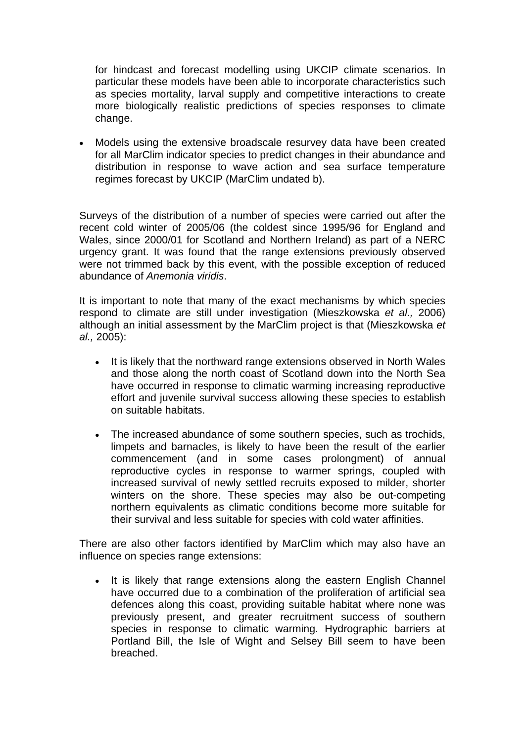for hindcast and forecast modelling using UKCIP climate scenarios. In particular these models have been able to incorporate characteristics such as species mortality, larval supply and competitive interactions to create more biologically realistic predictions of species responses to climate change.

• Models using the extensive broadscale resurvey data have been created for all MarClim indicator species to predict changes in their abundance and distribution in response to wave action and sea surface temperature regimes forecast by UKCIP (MarClim undated b).

Surveys of the distribution of a number of species were carried out after the recent cold winter of 2005/06 (the coldest since 1995/96 for England and Wales, since 2000/01 for Scotland and Northern Ireland) as part of a NERC urgency grant. It was found that the range extensions previously observed were not trimmed back by this event, with the possible exception of reduced abundance of *Anemonia viridis*.

It is important to note that many of the exact mechanisms by which species respond to climate are still under investigation (Mieszkowska *et al.,* 2006) although an initial assessment by the MarClim project is that (Mieszkowska *et al.,* 2005):

- It is likely that the northward range extensions observed in North Wales and those along the north coast of Scotland down into the North Sea have occurred in response to climatic warming increasing reproductive effort and juvenile survival success allowing these species to establish on suitable habitats.
- The increased abundance of some southern species, such as trochids, limpets and barnacles, is likely to have been the result of the earlier commencement (and in some cases prolongment) of annual reproductive cycles in response to warmer springs, coupled with increased survival of newly settled recruits exposed to milder, shorter winters on the shore. These species may also be out-competing northern equivalents as climatic conditions become more suitable for their survival and less suitable for species with cold water affinities.

There are also other factors identified by MarClim which may also have an influence on species range extensions:

It is likely that range extensions along the eastern English Channel have occurred due to a combination of the proliferation of artificial sea defences along this coast, providing suitable habitat where none was previously present, and greater recruitment success of southern species in response to climatic warming. Hydrographic barriers at Portland Bill, the Isle of Wight and Selsey Bill seem to have been breached.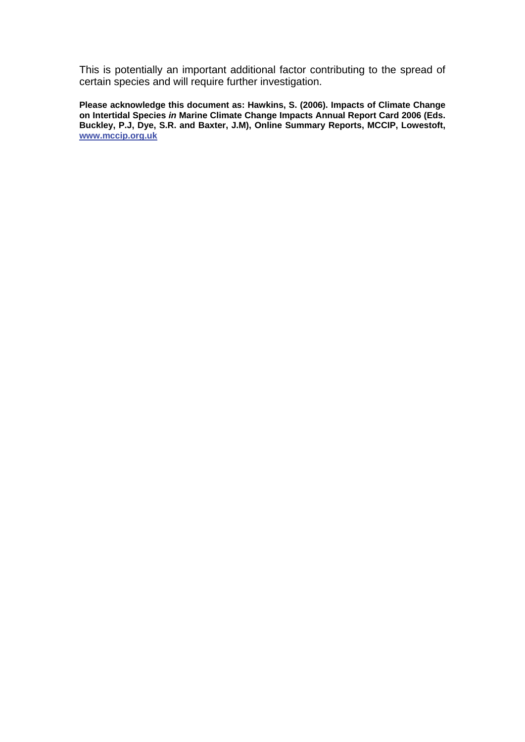This is potentially an important additional factor contributing to the spread of certain species and will require further investigation.

**Please acknowledge this document as: Hawkins, S. (2006). Impacts of Climate Change on Intertidal Species** *in* **Marine Climate Change Impacts Annual Report Card 2006 (Eds. Buckley, P.J, Dye, S.R. and Baxter, J.M), Online Summary Reports, MCCIP, Lowestoft, [www.mccip.org.uk](http://www.mccip.org.uk/)**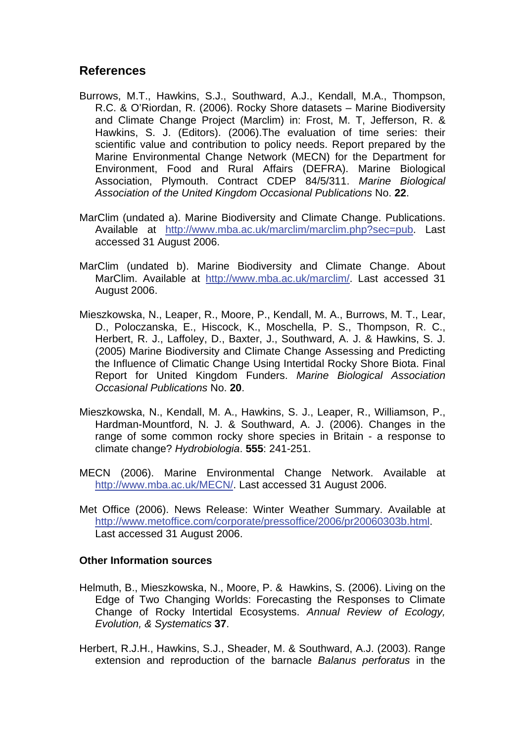#### **References**

- Burrows, M.T., Hawkins, S.J., Southward, A.J., Kendall, M.A., Thompson, R.C. & O'Riordan, R. (2006). Rocky Shore datasets – Marine Biodiversity and Climate Change Project (Marclim) in: Frost, M. T, Jefferson, R. & Hawkins, S. J. (Editors). (2006).The evaluation of time series: their scientific value and contribution to policy needs. Report prepared by the Marine Environmental Change Network (MECN) for the Department for Environment, Food and Rural Affairs (DEFRA). Marine Biological Association, Plymouth. Contract CDEP 84/5/311. *Marine Biological Association of the United Kingdom Occasional Publications* No. **22**.
- MarClim (undated a). Marine Biodiversity and Climate Change. Publications. Available at [http://www.mba.ac.uk/marclim/marclim.php?sec=pub.](http://www.mba.ac.uk/marclim/marclim.php?sec=pub) Last accessed 31 August 2006.
- MarClim (undated b). Marine Biodiversity and Climate Change. About MarClim. Available at [http://www.mba.ac.uk/marclim/.](http://www.mba.ac.uk/marclim/) Last accessed 31 August 2006.
- Mieszkowska, N., Leaper, R., Moore, P., Kendall, M. A., Burrows, M. T., Lear, D., Poloczanska, E., Hiscock, K., Moschella, P. S., Thompson, R. C., Herbert, R. J., Laffoley, D., Baxter, J., Southward, A. J. & Hawkins, S. J. (2005) Marine Biodiversity and Climate Change Assessing and Predicting the Influence of Climatic Change Using Intertidal Rocky Shore Biota. Final Report for United Kingdom Funders. *Marine Biological Association Occasional Publications* No. **20**.
- Mieszkowska, N., Kendall, M. A., Hawkins, S. J., Leaper, R., Williamson, P., Hardman-Mountford, N. J. & Southward, A. J. (2006). Changes in the range of some common rocky shore species in Britain - a response to climate change? *Hydrobiologia*. **555**: 241-251.
- MECN (2006). Marine Environmental Change Network. Available at [http://www.mba.ac.uk/MECN/.](http://www.mba.ac.uk/MECN/) Last accessed 31 August 2006.
- Met Office (2006). News Release: Winter Weather Summary. Available at <http://www.metoffice.com/corporate/pressoffice/2006/pr20060303b.html>. Last accessed 31 August 2006.

#### **Other Information sources**

- Helmuth, B., Mieszkowska, N., Moore, P. & Hawkins, S. (2006). Living on the Edge of Two Changing Worlds: Forecasting the Responses to Climate Change of Rocky Intertidal Ecosystems. *Annual Review of Ecology, Evolution, & Systematics* **37**.
- Herbert, R.J.H., Hawkins, S.J., Sheader, M. & Southward, A.J. (2003). Range extension and reproduction of the barnacle *Balanus perforatus* in the